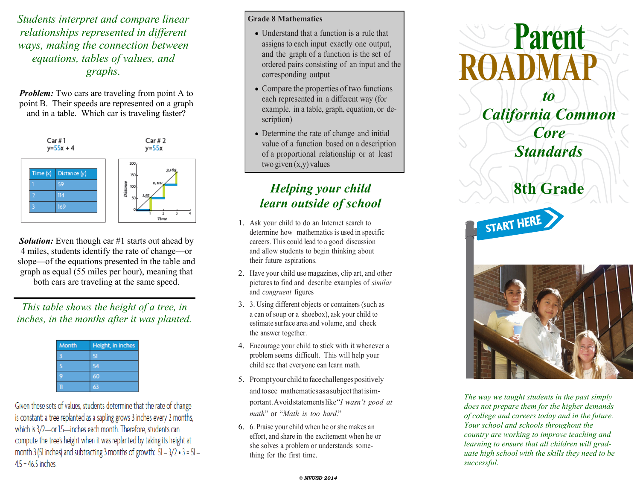*Students interpret and compare linear relationships represented in different ways, making the connection between equations, tables of values, and graphs.*

*Problem:* Two cars are traveling from point A to point B. Their speeds are represented on a graph and in a table. Which car is traveling faster?



*Solution:* Even though car #1 starts out ahead by 4 miles, students identify the rate of change—or slope—of the equations presented in the table and graph as equal (55 miles per hour), meaning that both cars are traveling at the same speed.

*This table shows the height of a tree, in inches, in the months after it was planted.*

| Month | Height, in inches |
|-------|-------------------|
|       |                   |
|       |                   |
|       | 60                |
|       |                   |

Given these sets of values, students determine that the rate of change is constant: a tree replanted as a sapling grows 3 inches every 2 months, which is 3/2-or 1.5-inches each month. Therefore, students can compute the tree's height when it was replanted by taking its height at month 3 (51 inches) and subtracting 3 months of growth:  $51 - 3/2 \cdot 3 = 51 4.5 = 46.5$  inches.

### **Grade 8 Mathematics**

- Understand that a function is a rule that assigns to each input exactly one output, and the graph of a function is the set of ordered pairs consisting of an input and the corresponding output
- Compare the properties of two functions each represented in a different way (for example, in a table, graph, equation, or description)
- Determine the rate of change and initial value of a function based on a description of a proportional relationship or at least two given (x,y) values

# *Helping your child learn outside of school*

- 1. Ask your child to do an Internet search to determine how mathematics is used in specific careers. This could lead to a good discussion and allow students to begin thinking about their future aspirations.
- 2. Have your child use magazines, clip art, and other pictures to find and describe examples of *similar* and *congruent* figures
- 3. 3. Using different objects or containers (such as a can of soup or a shoebox), ask your child to estimate surface area and volume, and check the answer together.
- 4. Encourage your child to stick with it whenever a problem seems difficult. This will help your child see that everyone can learn math.
- 5. Promptyourchildtofacechallengespositively andtosee mathematicsasasubjectthatisimportant.Avoidstatementslike"*I wasn't good at math*" or "*Math is too hard*."
- 6. 6. Praise your child when he or she makes an effort, and share in the excitement when he or she solves a problem or understands something for the first time.



*The way we taught students in the past simply does not prepare them for the higher demands of college and careers today and in the future. Your school and schools throughout the country are working to improve teaching and learning to ensure that all children will graduate high school with the skills they need to be successful.*